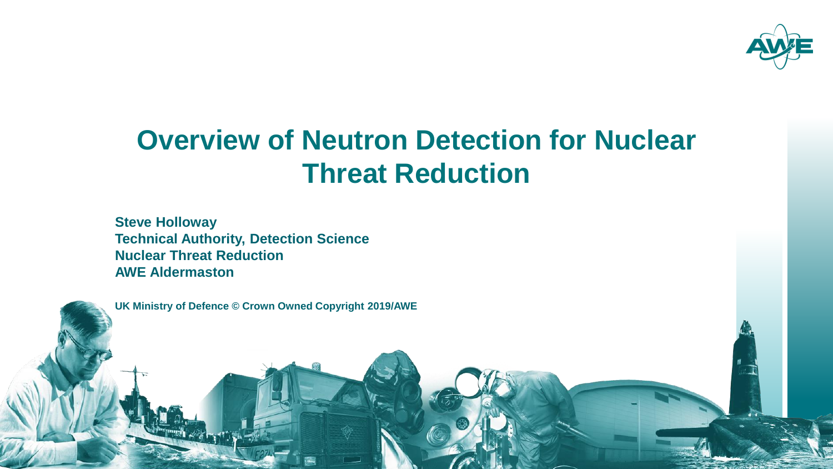

### **Overview of Neutron Detection for Nuclear Threat Reduction**

**Steve Holloway Technical Authority, Detection Science Nuclear Threat Reduction AWE Aldermaston**

 $\mathcal{D}$  and  $\mathcal{D}$  and  $\mathcal{D}$  and  $\mathcal{D}$  and  $\mathcal{D}$  and  $\mathcal{D}$  and  $\mathcal{D}$  and  $\mathcal{D}$  and  $\mathcal{D}$  and  $\mathcal{D}$  and  $\mathcal{D}$  and  $\mathcal{D}$  and  $\mathcal{D}$  and  $\mathcal{D}$  and  $\mathcal{D}$  and  $\mathcal{D}$  and  $\mathcal{D}$  and



**UK Ministry of Defence © Crown Owned Copyright 2019/AWE**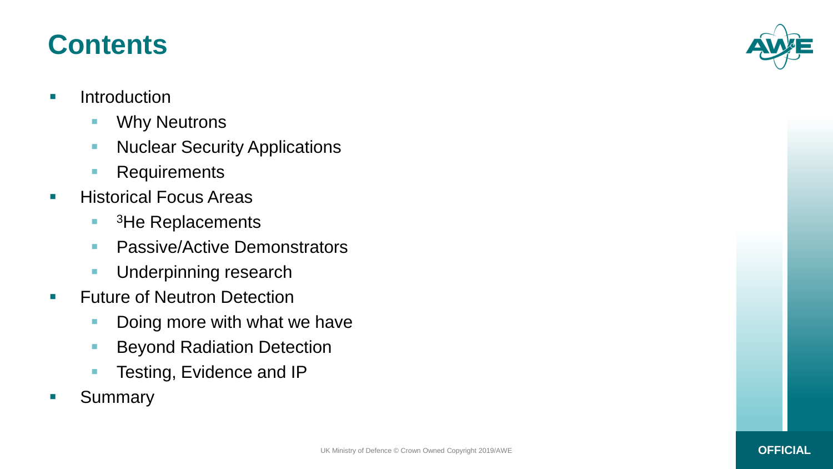#### **Contents**

- **Introduction** 
	- **Neutrons**
	- **Nuclear Security Applications**
	- **Requirements**
- **Historical Focus Areas** 
	- $\overline{\phantom{a}}$ <sup>3</sup>He Replacements
	- **Passive/Active Demonstrators**
	- **Underpinning research**
- **Future of Neutron Detection** 
	- Doing more with what we have
	- **Beyond Radiation Detection**
	- **Testing, Evidence and IP**
- **Summary**

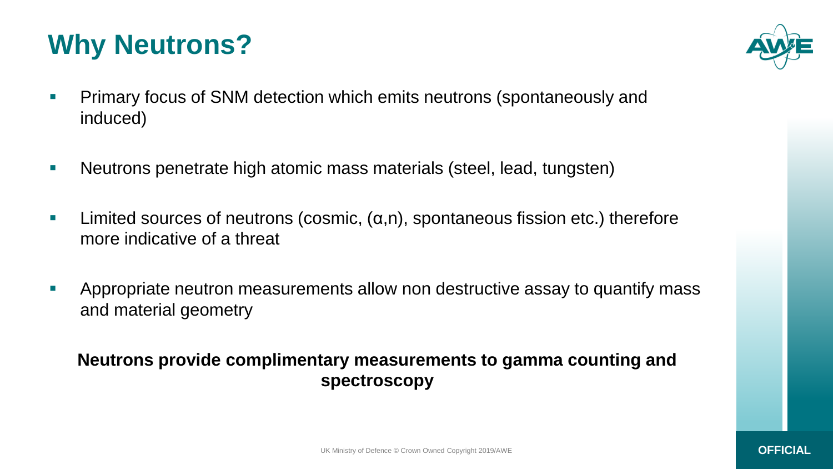### **Why Neutrons?**



- **Primary focus of SNM detection which emits neutrons (spontaneously and** induced)
- **Neutrons penetrate high atomic mass materials (steel, lead, tungsten)**
- **Limited sources of neutrons (cosmic,**  $(\alpha, n)$ **, spontaneous fission etc.) therefore** more indicative of a threat
- Appropriate neutron measurements allow non destructive assay to quantify mass and material geometry

#### **Neutrons provide complimentary measurements to gamma counting and spectroscopy**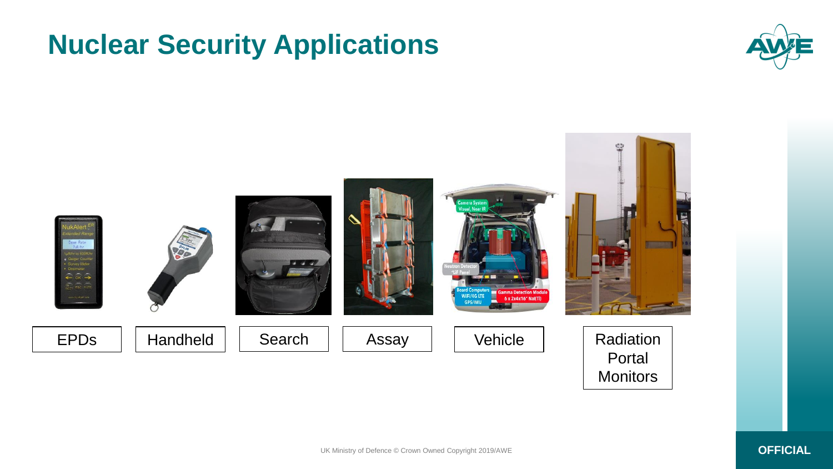### **Nuclear Security Applications**



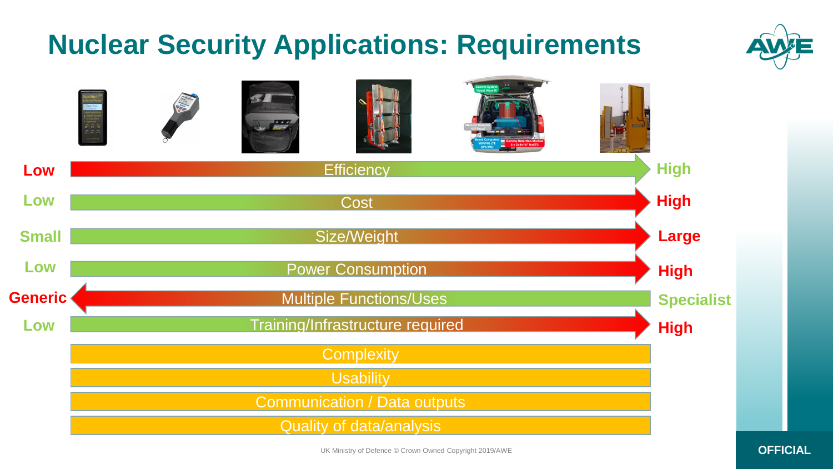

UK Ministry of Defence © Crown Owned Copyright 2019/AWE **OFFICIAL**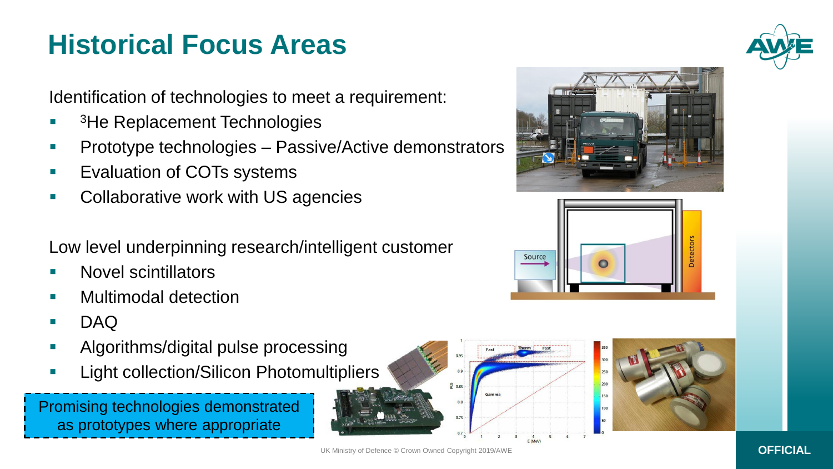## **Historical Focus Areas**

Identification of technologies to meet a requirement:

- P. <sup>3</sup>He Replacement Technologies
- **Prototype technologies Passive/Active demonstrators**
- **Exaluation of COTs systems**
- **Collaborative work with US agencies**

Low level underpinning research/intelligent customer

- Novel scintillators
- Multimodal detection
- DAQ
- **Algorithms/digital pulse processing**
- **Light collection/Silicon Photomultipliers**

Promising technologies demonstrated as prototypes where appropriate











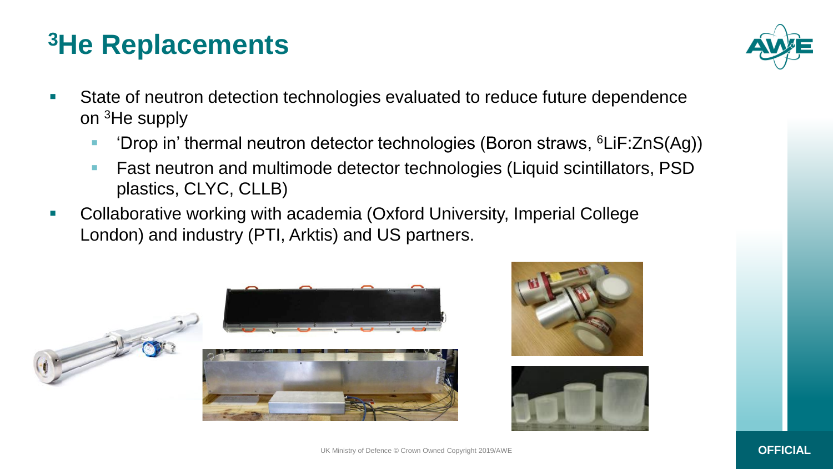## **<sup>3</sup>He Replacements**



- State of neutron detection technologies evaluated to reduce future dependence on <sup>3</sup>He supply
	- 'Drop in' thermal neutron detector technologies (Boron straws, <sup>6</sup>LiF:ZnS(Ag))
	- **Fast neutron and multimode detector technologies (Liquid scintillators, PSD** plastics, CLYC, CLLB)
- Collaborative working with academia (Oxford University, Imperial College London) and industry (PTI, Arktis) and US partners.





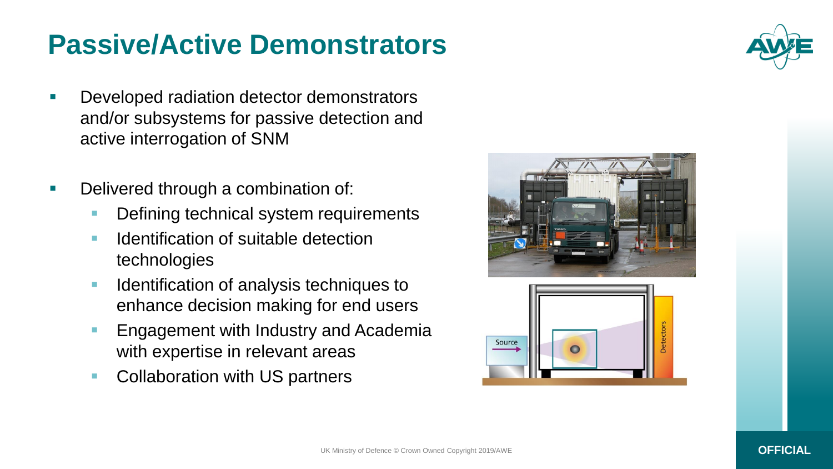#### **Passive/Active Demonstrators**

- **Developed radiation detector demonstrators** and/or subsystems for passive detection and active interrogation of SNM
- Delivered through a combination of:
	- **Defining technical system requirements**
	- **IDED** Identification of suitable detection technologies
	- **IDENTIFICATE IN A LIGAN IS A LIGAN IN A LIGAN IN A LIGAN ISL I** enhance decision making for end users
	- **Engagement with Industry and Academia** with expertise in relevant areas
	- **Collaboration with US partners**







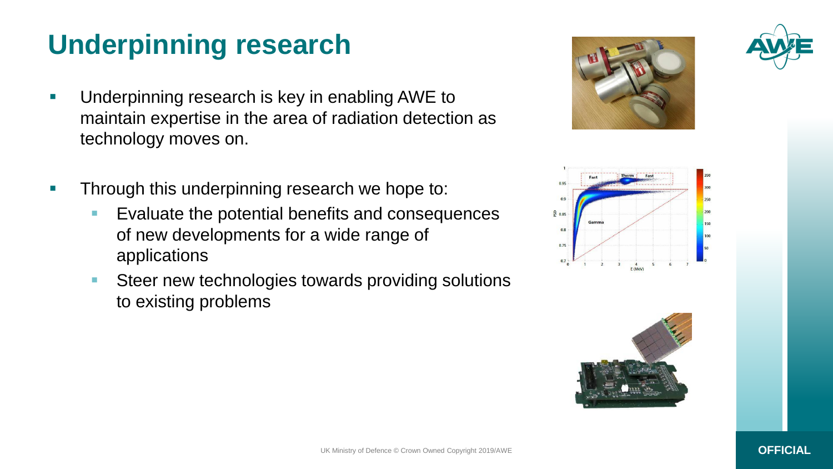# **Underpinning research**

- **Underpinning research is key in enabling AWE to** maintain expertise in the area of radiation detection as technology moves on.
- **Through this underpinning research we hope to:** 
	- **Exaluate the potential benefits and consequences** of new developments for a wide range of applications
	- **Steer new technologies towards providing solutions** to existing problems







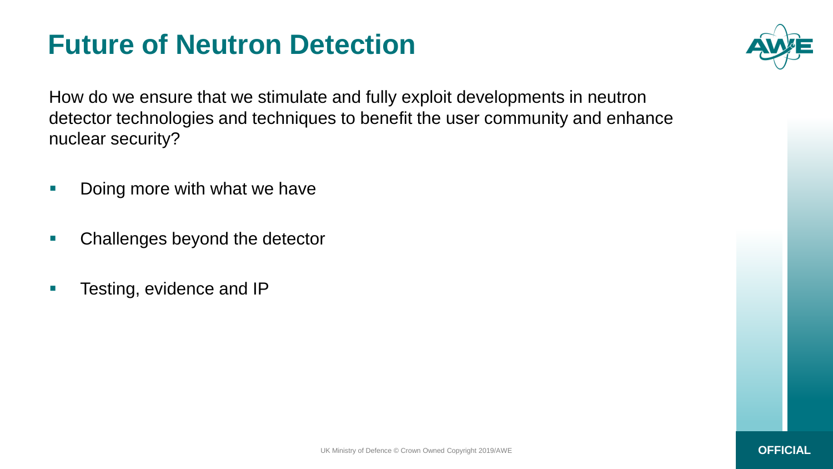### **Future of Neutron Detection**



How do we ensure that we stimulate and fully exploit developments in neutron detector technologies and techniques to benefit the user community and enhance nuclear security?

- **Doing more with what we have**
- **EXEC** Challenges beyond the detector
- **Testing, evidence and IP**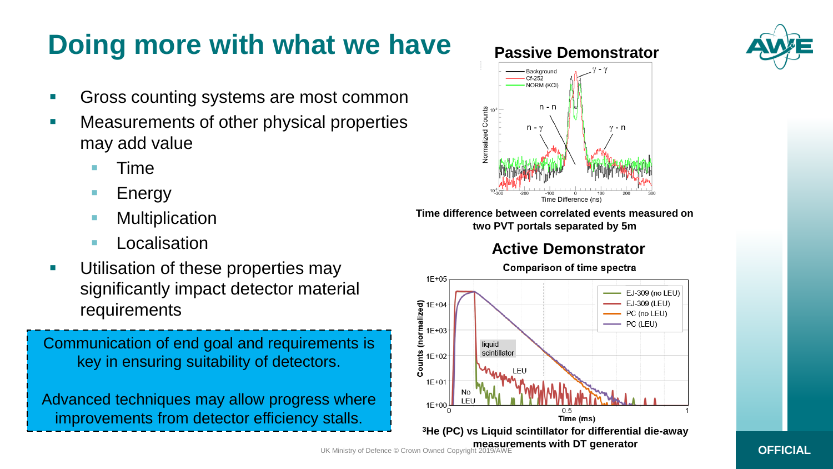# **Doing more with what we have**

- Gross counting systems are most common
- **Neasurements of other physical properties** may add value
	- Time
	- **Energy**
	- **Multiplication**
	- **Localisation**
- **Utilisation of these properties may** significantly impact detector material requirements

Communication of end goal and requirements is key in ensuring suitability of detectors.

Advanced techniques may allow progress where improvements from detector efficiency stalls.

**Time difference between correlated events measured on two PVT portals separated by 5m**

Background  $Cf-252$ NORM (KCI)

n - n

 $n - \gamma$ 

**Normalized Counts** 

#### **Active Demonstrator**

Time Difference (ns)

**Passive Demonstrator**

v - n

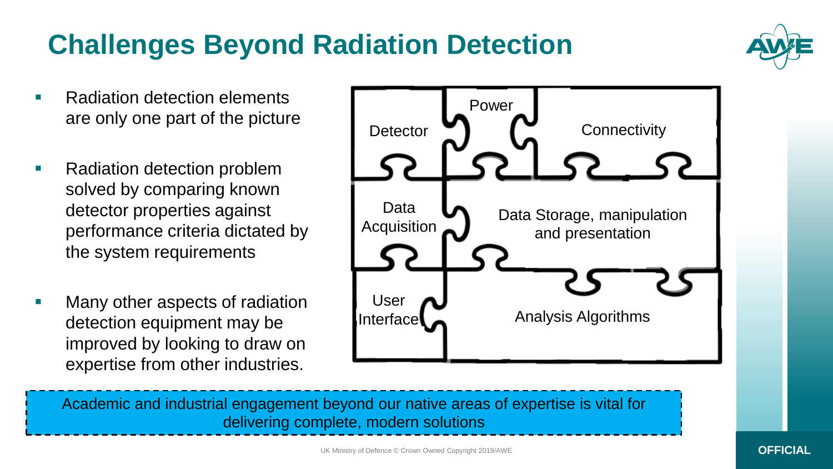#### UK Ministry of Defence © Crown Owned Copyright 2019/AWE **OFFICIAL**

#### Academic and industrial engagement beyond our native areas of expertise is vital for delivering complete, modern solutions

#### • Radiation detection problem solved by comparing known detector properties against performance criteria dictated by the system requirements

 Many other aspects of radiation detection equipment may be improved by looking to draw on expertise from other industries.









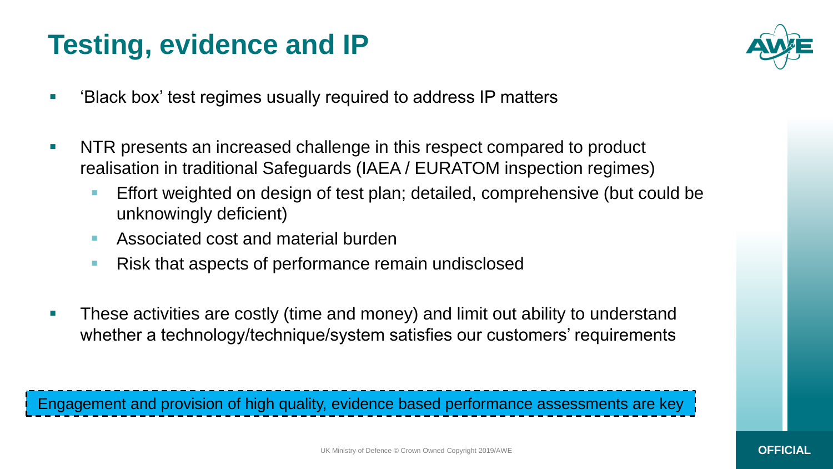## **Testing, evidence and IP**



- 'Black box' test regimes usually required to address IP matters
- **NTR** presents an increased challenge in this respect compared to product realisation in traditional Safeguards (IAEA / EURATOM inspection regimes)
	- **Effort weighted on design of test plan; detailed, comprehensive (but could be** unknowingly deficient)
	- **Associated cost and material burden**
	- Risk that aspects of performance remain undisclosed
- **These activities are costly (time and money) and limit out ability to understand** whether a technology/technique/system satisfies our customers' requirements

Engagement and provision of high quality, evidence based performance assessments are key